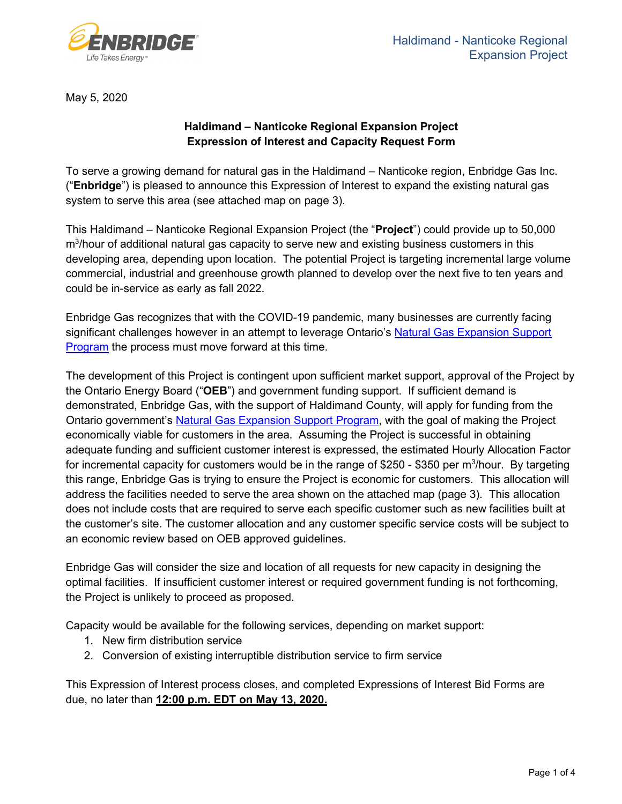

May 5, 2020

### **Haldimand – Nanticoke Regional Expansion Project Expression of Interest and Capacity Request Form**

To serve a growing demand for natural gas in the Haldimand – Nanticoke region, Enbridge Gas Inc. ("**Enbridge**") is pleased to announce this Expression of Interest to expand the existing natural gas system to serve this area (see attached map on page 3).

This Haldimand – Nanticoke Regional Expansion Project (the "**Project**") could provide up to 50,000 m<sup>3</sup>/hour of additional natural gas capacity to serve new and existing business customers in this developing area, depending upon location. The potential Project is targeting incremental large volume commercial, industrial and greenhouse growth planned to develop over the next five to ten years and could be in-service as early as fall 2022.

Enbridge Gas recognizes that with the COVID-19 pandemic, many businesses are currently facing significant challenges however in an attempt to leverage Ontario's Natural Gas Expansion Support [Program](https://www.ontario.ca/page/natural-gas-expansion-support-program) the process must move forward at this time.

The development of this Project is contingent upon sufficient market support, approval of the Project by the Ontario Energy Board ("**OEB**") and government funding support. If sufficient demand is demonstrated, Enbridge Gas, with the support of Haldimand County, will apply for funding from the Ontario government's [Natural Gas Expansion Support Program,](https://www.oeb.ca/industry/policy-initiatives-and-consultations/potential-projects-expand-access-natural-gas) with the goal of making the Project economically viable for customers in the area. Assuming the Project is successful in obtaining adequate funding and sufficient customer interest is expressed, the estimated Hourly Allocation Factor for incremental capacity for customers would be in the range of \$250 - \$350 per m<sup>3</sup>/hour. By targeting this range, Enbridge Gas is trying to ensure the Project is economic for customers. This allocation will address the facilities needed to serve the area shown on the attached map (page 3). This allocation does not include costs that are required to serve each specific customer such as new facilities built at the customer's site. The customer allocation and any customer specific service costs will be subject to an economic review based on OEB approved guidelines.

Enbridge Gas will consider the size and location of all requests for new capacity in designing the optimal facilities. If insufficient customer interest or required government funding is not forthcoming, the Project is unlikely to proceed as proposed.

Capacity would be available for the following services, depending on market support:

- 1. New firm distribution service
- 2. Conversion of existing interruptible distribution service to firm service

This Expression of Interest process closes, and completed Expressions of Interest Bid Forms are due, no later than **12:00 p.m. EDT on May 13, 2020.**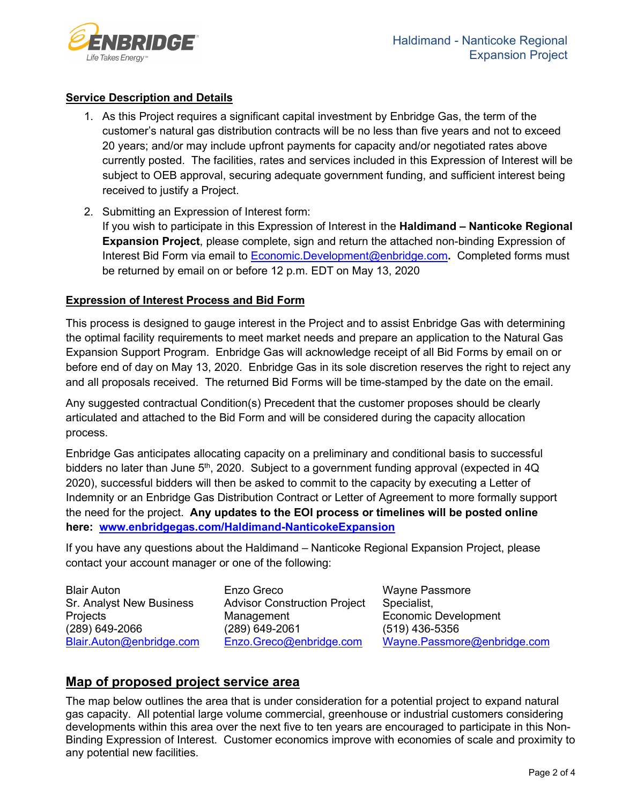

#### **Service Description and Details**

- 1. As this Project requires a significant capital investment by Enbridge Gas, the term of the customer's natural gas distribution contracts will be no less than five years and not to exceed 20 years; and/or may include upfront payments for capacity and/or negotiated rates above currently posted. The facilities, rates and services included in this Expression of Interest will be subject to OEB approval, securing adequate government funding, and sufficient interest being received to justify a Project.
- 2. Submitting an Expression of Interest form: If you wish to participate in this Expression of Interest in the **Haldimand – Nanticoke Regional Expansion Project**, please complete, sign and return the attached non-binding Expression of Interest Bid Form via email to [Economic.Development@enbridge.com](mailto:Economic.Development@enbridge.com?subject=Haldimand-Nanticoke%20EOI)**.** Completed forms must be returned by email on or before 12 p.m. EDT on May 13, 2020

#### **Expression of Interest Process and Bid Form**

This process is designed to gauge interest in the Project and to assist Enbridge Gas with determining the optimal facility requirements to meet market needs and prepare an application to the Natural Gas Expansion Support Program. Enbridge Gas will acknowledge receipt of all Bid Forms by email on or before end of day on May 13, 2020. Enbridge Gas in its sole discretion reserves the right to reject any and all proposals received. The returned Bid Forms will be time-stamped by the date on the email.

Any suggested contractual Condition(s) Precedent that the customer proposes should be clearly articulated and attached to the Bid Form and will be considered during the capacity allocation process.

Enbridge Gas anticipates allocating capacity on a preliminary and conditional basis to successful bidders no later than June  $5<sup>th</sup>$ , 2020. Subject to a government funding approval (expected in 4Q 2020), successful bidders will then be asked to commit to the capacity by executing a Letter of Indemnity or an Enbridge Gas Distribution Contract or Letter of Agreement to more formally support the need for the project. **Any updates to the EOI process or timelines will be posted online here: [www.enbridgegas.com/Haldimand-NanticokeExpansion](http://www.enbridgegas.com/Haldimand-NanticokeExpansion)**

If you have any questions about the Haldimand – Nanticoke Regional Expansion Project, please contact your account manager or one of the following:

Blair Auton Sr. Analyst New Business **Projects** (289) 649-2066 [Blair.Auton@enbridge.com](mailto:Blair.Auton@enbridge.com?subject=Haldimand-Nanticoke%20EOI) Enzo Greco Advisor Construction Project **Management** (289) 649-2061 [Enzo.Greco@enbridge.com](mailto:Enzo.Greco@enbridge.com?subject=Haldimand-Nanticoke%20EOI)

Wayne Passmore Specialist, Economic Development (519) 436-5356 [Wayne.Passmore@enbridge.com](mailto:wayne.passmore@enbridge.com?subject=Haldimand-Nanticoke%20EOI)

## **Map of proposed project service area**

The map below outlines the area that is under consideration for a potential project to expand natural gas capacity. All potential large volume commercial, greenhouse or industrial customers considering developments within this area over the next five to ten years are encouraged to participate in this Non-Binding Expression of Interest. Customer economics improve with economies of scale and proximity to any potential new facilities.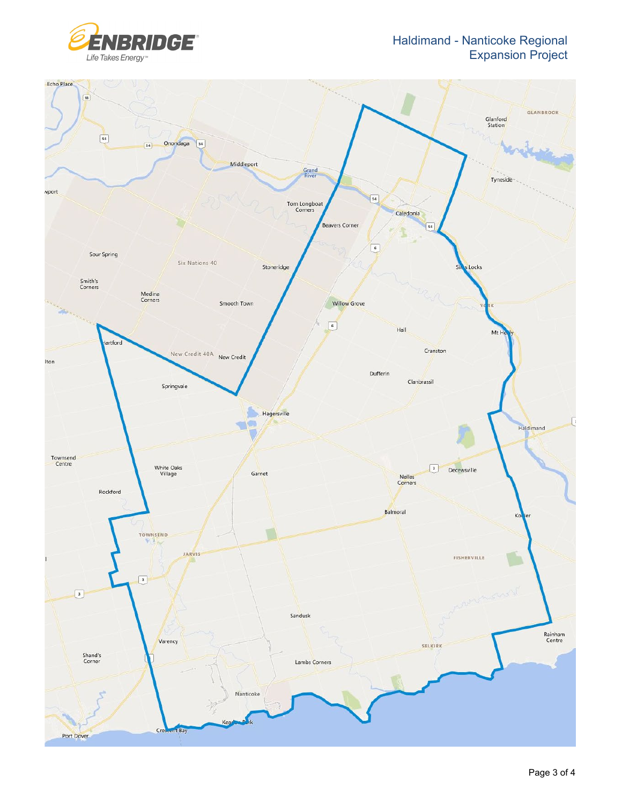Haldimand - Nanticoke Regional Expansion Project